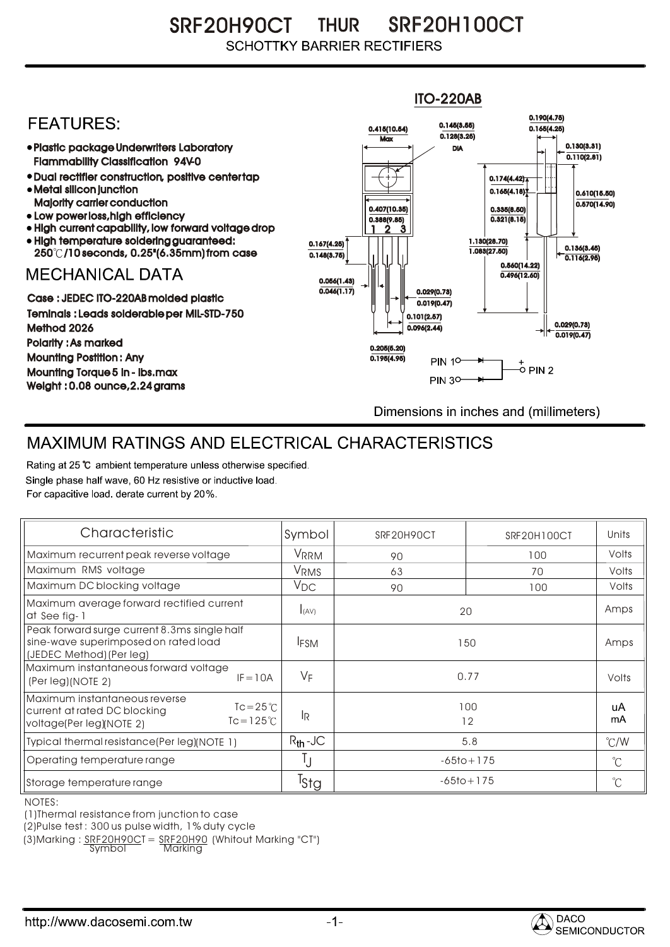SRF20H90CT THUR SRF20H100CT **SCHOTTKY BARRIER RECTIFIERS** 



## MAXIMUM RATINGS AND ELECTRICAL CHARACTERISTICS

Rating at 25 °C ambient temperature unless otherwise specified. Single phase half wave, 60 Hz resistive or inductive load. For capacitive load, derate current by 20%.

| Characteristic                                                                                                                   | Symbol           | SRF20H90CT     | SRF20H100CT | Units         |
|----------------------------------------------------------------------------------------------------------------------------------|------------------|----------------|-------------|---------------|
| Maximum recurrent peak reverse voltage                                                                                           | VRRM             | 90             | 100         | Volts         |
| Maximum RMS voltage                                                                                                              | V <sub>RMS</sub> | 63             | 70          | Volts         |
| Maximum DC blocking voltage                                                                                                      | $V_{DC}$         | 90             | 100         | Volts         |
| Maximum average forward rectified current<br>at See fig-1                                                                        | I(AV)            | 20             |             | Amps          |
| Peak forward surge current 8.3ms single half<br>sine-wave superimposed on rated load<br>(JEDEC Method) (Per leg)                 | <b>IFSM</b>      | 150            |             | Amps          |
| Maximum instantaneous forward voltage<br>$IF = 10A$<br>(Per leg)(NOTE 2)                                                         | $V_F$            | 0.77           |             | Volts         |
| Maximum instantaneous reverse<br>$Tc = 25^{\circ}C$<br>current at rated DC blocking<br>$Tc = 125$ °C<br>voltage(Per leg)(NOTE 2) | lR.              | 100<br>12      |             | uA<br>mA      |
| Typical thermal resistance(Per leg)(NOTE 1)                                                                                      | $R_{th}$ -JC     | 5.8            |             | $\degree$ C/W |
| Operating temperature range                                                                                                      |                  | $-65$ to + 175 |             | $^{\circ}C$   |
| Storage temperature range                                                                                                        | Tstg             | $-65$ to + 175 |             | $^{\circ}C$   |

NOTES:

(1)Thermal resistance from junction to case

(2)Pulse test : 300 us pulse width, 1% duty cycle

(3)Marking :  $\frac{SRF20H90C}{Symb0}$  =  $\frac{SRF20H90}{Marking}$  (Whitout Marking "CT")

Symbol